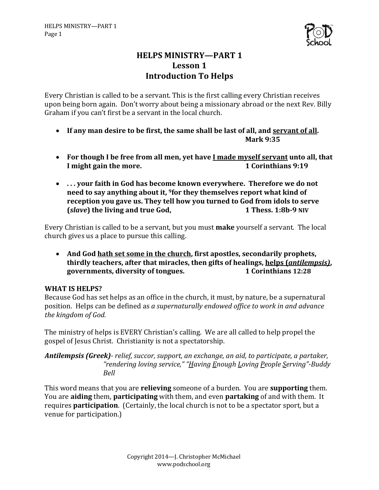

# **HELPS MINISTRY-PART 1 Lesson 1 Introduction To Helps**

Every Christian is called to be a servant. This is the first calling every Christian receives upon being born again. Don't worry about being a missionary abroad or the next Rev. Billy Graham if you can't first be a servant in the local church.

- If any man desire to be first, the same shall be last of all, and servant of all. **Mark 9:35**
- For though I be free from all men, yet have I made myself servant unto all, that **I** might gain the more. **1** Corinthians 9:19
- ... your faith in God has become known everywhere. Therefore we do not need to say anything about it, <sup>9</sup>for they themselves report what kind of reception you gave us. They tell how you turned to God from idols to serve **(slave**) the living and true God, **1** Thess. 1:8b-9 NIV

Every Christian is called to be a servant, but you must **make** yourself a servant. The local church gives us a place to pursue this calling.

• And God <u>hath set some in the church</u>, first apostles, secondarily prophets, **thirdly teachers, after that miracles, then gifts of healings, helps (***antilempsis***), governments, diversity of tongues. 1** Corinthians 12:28

## **WHAT IS HELPS?**

Because God has set helps as an office in the church, it must, by nature, be a supernatural position. Helps can be defined as a supernaturally endowed office to work in and advance the kingdom of God.

The ministry of helps is EVERY Christian's calling. We are all called to help propel the gospel of Jesus Christ. Christianity is not a spectatorship.

*Antilempsis (Greek)- relief, succor, support, an exchange, an aid, to participate, a partaker,* "rendering loving service," "Having Enough Loving People Serving"-Buddy *Bell*

This word means that you are **relieving** someone of a burden. You are **supporting** them. You are **aiding** them, **participating** with them, and even **partaking** of and with them. It requires **participation**. (Certainly, the local church is not to be a spectator sport, but a venue for participation.)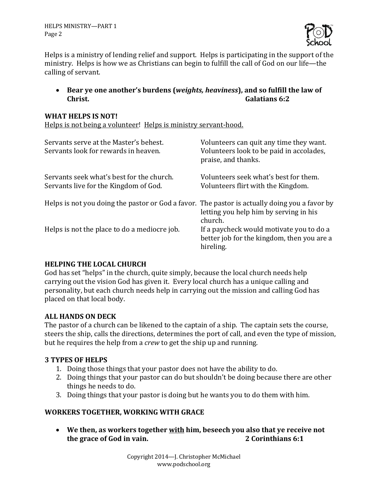HELPS MINISTRY-PART 1 Page 2



Helps is a ministry of lending relief and support. Helps is participating in the support of the ministry. Helps is how we as Christians can begin to fulfill the call of God on our life—the calling of servant.

• Bear ye one another's burdens (*weights, heaviness*), and so fulfill the law of **Christ. Galatians** 6:2

#### **WHAT HELPS IS NOT!**

Helps is not being a volunteer! Helps is ministry servant-hood.

| Servants serve at the Master's behest.<br>Servants look for rewards in heaven.                | Volunteers can quit any time they want.<br>Volunteers look to be paid in accolades,<br>praise, and thanks. |
|-----------------------------------------------------------------------------------------------|------------------------------------------------------------------------------------------------------------|
| Servants seek what's best for the church.<br>Servants live for the Kingdom of God.            | Volunteers seek what's best for them.<br>Volunteers flirt with the Kingdom.                                |
| Helps is not you doing the pastor or God a favor. The pastor is actually doing you a favor by | letting you help him by serving in his<br>church.                                                          |
| Helps is not the place to do a mediocre job.                                                  | If a paycheck would motivate you to do a<br>better job for the kingdom, then you are a<br>hireling.        |

#### **HELPING THE LOCAL CHURCH**

God has set "helps" in the church, quite simply, because the local church needs help carrying out the vision God has given it. Every local church has a unique calling and personality, but each church needs help in carrying out the mission and calling God has placed on that local body.

#### **ALL HANDS ON DECK**

The pastor of a church can be likened to the captain of a ship. The captain sets the course, steers the ship, calls the directions, determines the port of call, and even the type of mission, but he requires the help from a *crew* to get the ship up and running.

#### **3 TYPES OF HELPS**

- 1. Doing those things that your pastor does not have the ability to do.
- 2. Doing things that your pastor can do but shouldn't be doing because there are other things he needs to do.
- 3. Doing things that your pastor is doing but he wants you to do them with him.

## **WORKERS TOGETHER, WORKING WITH GRACE**

• We then, as workers together with him, beseech you also that ye receive not **the grace of God in vain. 2 Corinthians 6:1**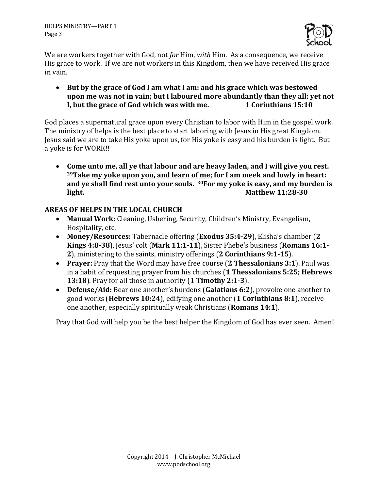

We are workers together with God, not *for* Him, *with* Him. As a consequence, we receive His grace to work. If we are not workers in this Kingdom, then we have received His grace in vain.

• But by the grace of God I am what I am: and his grace which was bestowed upon me was not in vain; but I laboured more abundantly than they all; yet not **I, but the grace of God which was with me.** 1 Corinthians 15:10

God places a supernatural grace upon every Christian to labor with Him in the gospel work. The ministry of helps is the best place to start laboring with Jesus in His great Kingdom. Jesus said we are to take His yoke upon us, for His yoke is easy and his burden is light. But a yoke is for WORK!!

• Come unto me, all ye that labour and are heavy laden, and I will give you rest. <sup>29</sup>Take my voke upon you, and learn of me; for I am meek and lowly in heart: and ye shall find rest unto your souls. <sup>30</sup>For my yoke is easy, and my burden is **light. Matthew 11:28-30** 

## **AREAS OF HELPS IN THE LOCAL CHURCH**

- Manual Work: Cleaning, Ushering, Security, Children's Ministry, Evangelism, Hospitality, etc.
- Money/Resources: Tabernacle offering (Exodus 35:4-29), Elisha's chamber (2) **Kings 4:8-38**), Jesus' colt (Mark 11:1-11), Sister Phebe's business (Romans 16:1-**2**), ministering to the saints, ministry offerings (2 Corinthians 9:1-15).
- Prayer: Pray that the Word may have free course (2 Thessalonians 3:1). Paul was in a habit of requesting prayer from his churches (1 Thessalonians 5:25; Hebrews **13:18**). Pray for all those in authority (1 Timothy 2:1-3).
- **Defense/Aid:** Bear one another's burdens (Galatians 6:2), provoke one another to good works (**Hebrews 10:24**), edifying one another (**1 Corinthians 8:1**), receive one another, especially spiritually weak Christians (**Romans 14:1**).

Pray that God will help you be the best helper the Kingdom of God has ever seen. Amen!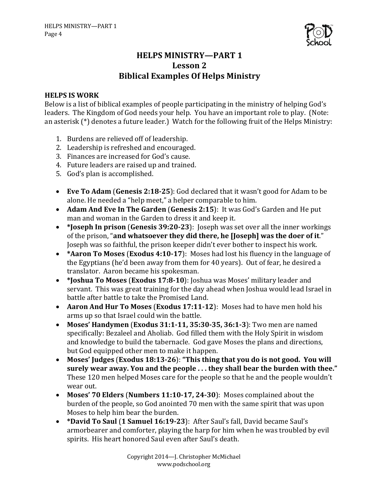

## **HELPS MINISTRY-PART 1 Lesson 2 Biblical Examples Of Helps Ministry**

#### **HELPS IS WORK**

Below is a list of biblical examples of people participating in the ministry of helping God's leaders. The Kingdom of God needs your help. You have an important role to play. (Note: an asterisk  $(*)$  denotes a future leader.) Watch for the following fruit of the Helps Ministry:

- 1. Burdens are relieved off of leadership.
- 2. Leadership is refreshed and encouraged.
- 3. Finances are increased for God's cause.
- 4. Future leaders are raised up and trained.
- 5. God's plan is accomplished.
- **Eve To Adam (Genesis 2:18-25)**: God declared that it wasn't good for Adam to be alone. He needed a "help meet," a helper comparable to him.
- Adam And Eve In The Garden (Genesis 2:15): It was God's Garden and He put man and woman in the Garden to dress it and keep it.
- \*Joseph In prison (Genesis 39:20-23): Joseph was set over all the inner workings of the prison, "and whatsoever they did there, he [Joseph] was the doer of it." Joseph was so faithful, the prison keeper didn't ever bother to inspect his work.
- \* **Aaron To Moses** (**Exodus 4:10-17**): Moses had lost his fluency in the language of the Egyptians (he'd been away from them for 40 years). Out of fear, he desired a translator. Aaron became his spokesman.
- \* **Joshua To Moses** (**Exodus 17:8-10**): Joshua was Moses' military leader and servant. This was great training for the day ahead when Joshua would lead Israel in battle after battle to take the Promised Land.
- Aaron And Hur To Moses (Exodus 17:11-12): Moses had to have men hold his arms up so that Israel could win the battle.
- Moses' Handymen (Exodus 31:1-11, 35:30-35, 36:1-3): Two men are named specifically: Bezaleel and Aholiab. God filled them with the Holy Spirit in wisdom and knowledge to build the tabernacle. God gave Moses the plans and directions, but God equipped other men to make it happen.
- Moses' Judges (Exodus 18:13-26): "This thing that you do is not good. You will surely wear away. You and the people ... they shall bear the burden with thee." These 120 men helped Moses care for the people so that he and the people wouldn't wear out.
- Moses' 70 Elders (Numbers 11:10-17, 24-30): Moses complained about the burden of the people, so God anointed 70 men with the same spirit that was upon Moses to help him bear the burden.
- \*David To Saul (1 Samuel 16:19-23): After Saul's fall, David became Saul's armorbearer and comforter, playing the harp for him when he was troubled by evil spirits. His heart honored Saul even after Saul's death.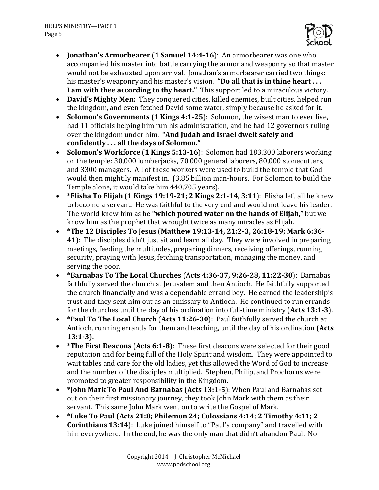

- **Jonathan's Armorbearer** (1 **Samuel 14:4-16**): An armorbearer was one who accompanied his master into battle carrying the armor and weaponry so that master would not be exhausted upon arrival. Jonathan's armorbearer carried two things: his master's weaponry and his master's vision. "Do all that is in thine heart . . . **I** am with thee according to thy heart." This support led to a miraculous victory.
- David's Mighty Men: They conquered cities, killed enemies, built cities, helped run the kingdom, and even fetched David some water, simply because he asked for it.
- Solomon's Governments (1 Kings 4:1-25): Solomon, the wisest man to ever live, had 11 officials helping him run his administration, and he had 12 governors ruling over the kingdom under him. "And Judah and Israel dwelt safely and confidently . . . all the days of Solomon."
- **Solomon's Workforce (1 Kings 5:13-16)**: Solomon had 183,300 laborers working on the temple: 30,000 lumberjacks, 70,000 general laborers, 80,000 stonecutters, and 3300 managers. All of these workers were used to build the temple that God would then mightily manifest in. (3.85 billion man-hours. For Solomon to build the Temple alone, it would take him 440,705 years).
- \* Elisha To Elijah  $(1$  Kings  $19:19-21$ ;  $2$  Kings  $2:1-14$ ,  $3:11$ ): Elisha left all he knew to become a servant. He was faithful to the very end and would not leave his leader. The world knew him as he "which poured water on the hands of Elijah," but we know him as the prophet that wrought twice as many miracles as Elijah.
- **\*The 12 Disciples To Jesus** (**Matthew 19:13-14, 21:2-3, 26:18-19; Mark 6:36- 41**): The disciples didn't just sit and learn all day. They were involved in preparing meetings, feeding the multitudes, preparing dinners, receiving offerings, running security, praying with Jesus, fetching transportation, managing the money, and serving the poor.
- \*Barnabas To The Local Churches (Acts 4:36-37, 9:26-28, 11:22-30): Barnabas faithfully served the church at Jerusalem and then Antioch. He faithfully supported the church financially and was a dependable errand boy. He earned the leadership's trust and they sent him out as an emissary to Antioch. He continued to run errands for the churches until the day of his ordination into full-time ministry (Acts 13:1-3).
- \*Paul To The Local Church (Acts 11:26-30): Paul faithfully served the church at Antioch, running errands for them and teaching, until the day of his ordination (Acts **13:1-3).**
- \*The First Deacons (Acts 6:1-8): These first deacons were selected for their good reputation and for being full of the Holy Spirit and wisdom. They were appointed to wait tables and care for the old ladies, yet this allowed the Word of God to increase and the number of the disciples multiplied. Stephen, Philip, and Prochorus were promoted to greater responsibility in the Kingdom.
- \* **John Mark To Paul And Barnabas** (Acts 13:1-5): When Paul and Barnabas set out on their first missionary journey, they took John Mark with them as their servant. This same John Mark went on to write the Gospel of Mark.
- \*Luke To Paul (Acts 21:8; Philemon 24; Colossians 4:14; 2 Timothy 4:11; 2 **Corinthians 13:14**): Luke joined himself to "Paul's company" and travelled with him everywhere. In the end, he was the only man that didn't abandon Paul. No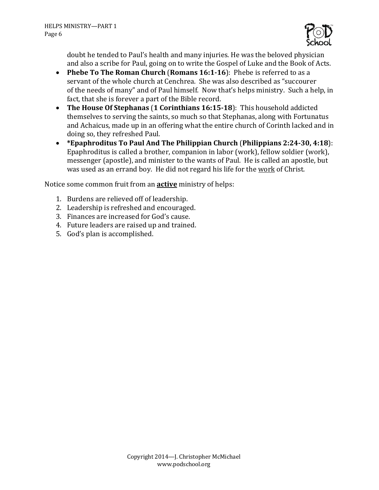

doubt he tended to Paul's health and many injuries. He was the beloved physician and also a scribe for Paul, going on to write the Gospel of Luke and the Book of Acts.

- Phebe To The Roman Church (Romans 16:1-16): Phebe is referred to as a servant of the whole church at Cenchrea. She was also described as "succourer" of the needs of many" and of Paul himself. Now that's helps ministry. Such a help, in fact, that she is forever a part of the Bible record.
- The House Of Stephanas (1 Corinthians 16:15-18): This household addicted themselves to serving the saints, so much so that Stephanas, along with Fortunatus and Achaicus, made up in an offering what the entire church of Corinth lacked and in doing so, they refreshed Paul.
- \* Epaphroditus To Paul And The Philippian Church (Philippians 2:24-30, 4:18): Epaphroditus is called a brother, companion in labor (work), fellow soldier (work), messenger (apostle), and minister to the wants of Paul. He is called an apostle, but was used as an errand boy. He did not regard his life for the work of Christ.

Notice some common fruit from an **active** ministry of helps:

- 1. Burdens are relieved off of leadership.
- 2. Leadership is refreshed and encouraged.
- 3. Finances are increased for God's cause.
- 4. Future leaders are raised up and trained.
- 5. God's plan is accomplished.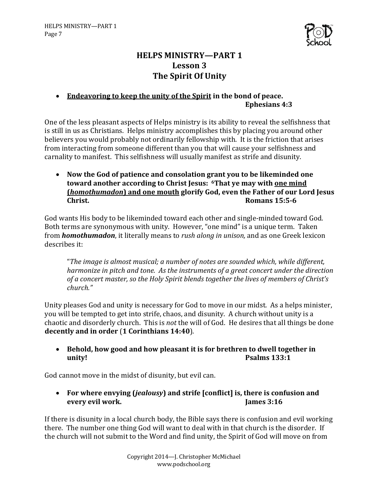

# **HELPS MINISTRY-PART 1 Lesson 3 The Spirit Of Unity**

## • Endeavoring to keep the unity of the Spirit in the bond of peace. **Ephesians 4:3**

One of the less pleasant aspects of Helps ministry is its ability to reveal the selfishness that is still in us as Christians. Helps ministry accomplishes this by placing you around other believers you would probably not ordinarily fellowship with. It is the friction that arises from interacting from someone different than you that will cause your selfishness and carnality to manifest. This selfishness will usually manifest as strife and disunity.

• Now the God of patience and consolation grant you to be likeminded one toward another according to Christ Jesus: <sup>6</sup>That ye may with <u>one mind</u> **(***homothumadon*) and one mouth glorify God, even the Father of our Lord Jesus **Christ. Romans** 15:5-6

God wants His body to be likeminded toward each other and single-minded toward God. Both terms are synonymous with unity. However, "one mind" is a unique term. Taken from **homothumadon**, it literally means to *rush along in unison*, and as one Greek lexicon describes it:

"The image is almost musical; a number of notes are sounded which, while different, *harmonize in pitch and tone. As the instruments of a great concert under the direction* of a concert master, so the Holy Spirit blends together the lives of members of Christ's *church."*

Unity pleases God and unity is necessary for God to move in our midst. As a helps minister, you will be tempted to get into strife, chaos, and disunity. A church without unity is a chaotic and disorderly church. This is *not* the will of God. He desires that all things be done decently and in order (1 Corinthians 14:40).

• Behold, how good and how pleasant it is for brethren to dwell together in **unity! Psalms** 133:1

God cannot move in the midst of disunity, but evil can.

• For where envying (*jealousy*) and strife [conflict] is, there is confusion and **every evil work. James 3:16** 

If there is disunity in a local church body, the Bible says there is confusion and evil working there. The number one thing God will want to deal with in that church is the disorder. If the church will not submit to the Word and find unity, the Spirit of God will move on from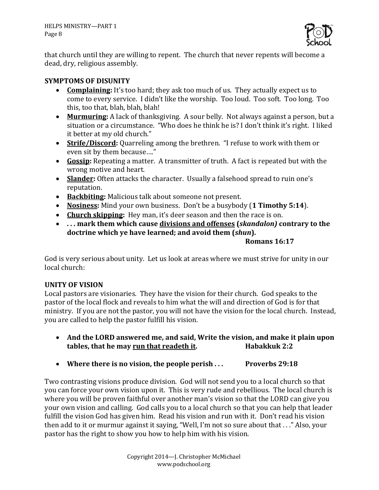

that church until they are willing to repent. The church that never repents will become a dead, dry, religious assembly.

## **SYMPTOMS OF DISUNITY**

- **Complaining:** It's too hard; they ask too much of us. They actually expect us to come to every service. I didn't like the worship. Too loud. Too soft. Too long. Too this, too that, blah, blah, blah!
- **Murmuring:** A lack of thanksgiving. A sour belly. Not always against a person, but a situation or a circumstance. "Who does he think he is? I don't think it's right. I liked it better at my old church."
- **Strife/Discord:** Quarreling among the brethren. "I refuse to work with them or even sit by them because...."
- **Gossip:** Repeating a matter. A transmitter of truth. A fact is repeated but with the wrong motive and heart.
- Slander: Often attacks the character. Usually a falsehood spread to ruin one's reputation.
- Backbiting: Malicious talk about someone not present.
- **Nosiness:** Mind your own business. Don't be a busybody (1 Timothy 5:14).
- **Church skipping:** Hey man, it's deer season and then the race is on.
- ... mark them which cause divisions and offenses (*skandalon*) contrary to the doctrine which ye have learned; and avoid them (*shun*).

## **Romans 16:17**

God is very serious about unity. Let us look at areas where we must strive for unity in our local church:

## **UNITY OF VISION**

Local pastors are visionaries. They have the vision for their church. God speaks to the pastor of the local flock and reveals to him what the will and direction of God is for that ministry. If you are not the pastor, you will not have the vision for the local church. Instead, you are called to help the pastor fulfill his vision.

- And the LORD answered me, and said, Write the vision, and make it plain upon **tables, that he may run that readeth it. Habakkuk 2:2**
- Where there is no vision, the people perish ... Proverbs 29:18

Two contrasting visions produce division. God will not send you to a local church so that you can force your own vision upon it. This is very rude and rebellious. The local church is where you will be proven faithful over another man's vision so that the LORD can give you your own vision and calling. God calls you to a local church so that you can help that leader fulfill the vision God has given him. Read his vision and run with it. Don't read his vision then add to it or murmur against it saying, "Well, I'm not so sure about that . . ." Also, your pastor has the right to show you how to help him with his vision.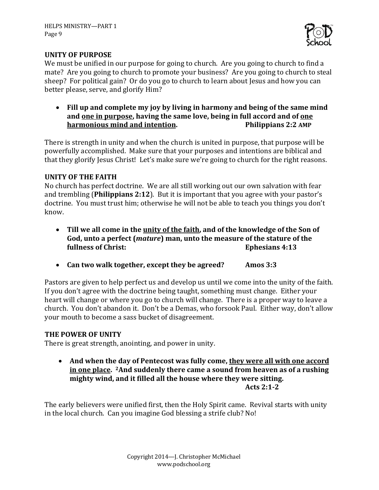

## **UNITY OF PURPOSE**

We must be unified in our purpose for going to church. Are you going to church to find a mate? Are you going to church to promote your business? Are you going to church to steal sheep? For political gain? Or do you go to church to learn about Jesus and how you can better please, serve, and glorify Him?

• Fill up and complete my joy by living in harmony and being of the same mind and <u>one in purpose</u>, having the same love, being in full accord and of <u>one</u> **harmonious mind and intention. Philippians 2:2 AMP** 

There is strength in unity and when the church is united in purpose, that purpose will be powerfully accomplished. Make sure that your purposes and intentions are biblical and that they glorify Jesus Christ! Let's make sure we're going to church for the right reasons.

## **UNITY OF THE FAITH**

No church has perfect doctrine. We are all still working out our own salvation with fear and trembling (**Philippians 2:12**). But it is important that you agree with your pastor's doctrine. You must trust him; otherwise he will not be able to teach you things you don't know. 

- Till we all come in the unity of the faith, and of the knowledge of the Son of God, unto a perfect (*mature*) man, unto the measure of the stature of the **fullness of Christ: Ephesians 4:13**
- Can two walk together, except they be agreed? Amos 3:3

Pastors are given to help perfect us and develop us until we come into the unity of the faith. If you don't agree with the doctrine being taught, something must change. Either your heart will change or where you go to church will change. There is a proper way to leave a church. You don't abandon it. Don't be a Demas, who forsook Paul. Either way, don't allow your mouth to become a sass bucket of disagreement.

## **THE POWER OF UNITY**

There is great strength, anointing, and power in unity.

• And when the day of Pentecost was fully come, they were all with one accord in one place. <sup>2</sup>And suddenly there came a sound from heaven as of a rushing mighty wind, and it filled all the house where they were sitting. **Acts 2:1-2**

The early believers were unified first, then the Holy Spirit came. Revival starts with unity in the local church. Can you imagine God blessing a strife club? No!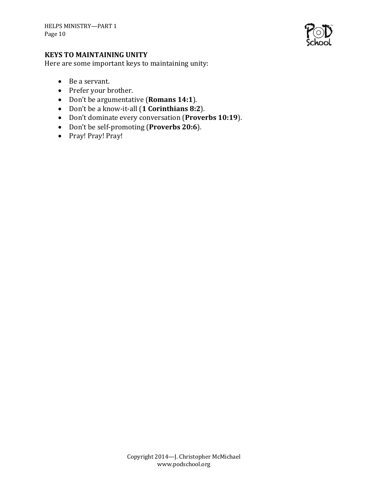

## **KEYS TO MAINTAINING UNITY**

Here are some important keys to maintaining unity:

- Be a servant.
- Prefer your brother.
- Don't be argumentative (**Romans 14:1**).
- Don't be a know-it-all (**1 Corinthians 8:2**).
- Don't dominate every conversation (Proverbs 10:19).
- Don't be self-promoting (Proverbs 20:6).
- Pray! Pray! Pray!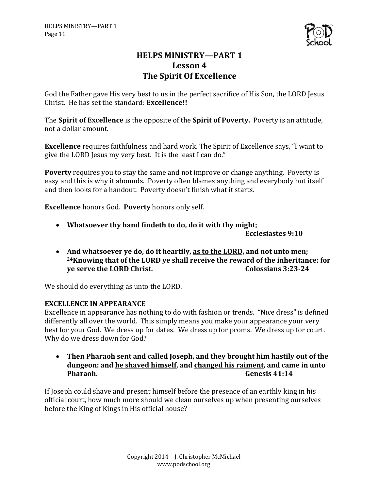

## **HELPS MINISTRY-PART 1** Lesson 4 **The Spirit Of Excellence**

God the Father gave His very best to us in the perfect sacrifice of His Son, the LORD Jesus Christ. He has set the standard: **Excellence!!** 

The **Spirit of Excellence** is the opposite of the **Spirit of Poverty.** Poverty is an attitude, not a dollar amount.

**Excellence** requires faithfulness and hard work. The Spirit of Excellence says, "I want to give the LORD Jesus my very best. It is the least I can do."

**Poverty** requires you to stay the same and not improve or change anything. Poverty is easy and this is why it abounds. Poverty often blames anything and everybody but itself and then looks for a handout. Poverty doesn't finish what it starts.

**Excellence** honors God. Poverty honors only self.

• Whatsoever thy hand findeth to do, do it with thy might;

**Ecclesiastes 9:10**

• And whatsoever ye do, do it heartily, as to the LORD, and not unto men; <sup>24</sup>Knowing that of the LORD ye shall receive the reward of the inheritance: for **ye serve the LORD Christ.** Colossians 3:23-24

We should do everything as unto the LORD.

## **EXCELLENCE IN APPEARANCE**

Excellence in appearance has nothing to do with fashion or trends. "Nice dress" is defined differently all over the world. This simply means you make your appearance your very best for your God. We dress up for dates. We dress up for proms. We dress up for court. Why do we dress down for God?

• Then Pharaoh sent and called Joseph, and they brought him hastily out of the dungeon: and he shaved himself, and changed his raiment, and came in unto **Pharaoh. Genesis 41:14** 

If Joseph could shave and present himself before the presence of an earthly king in his official court, how much more should we clean ourselves up when presenting ourselves before the King of Kings in His official house?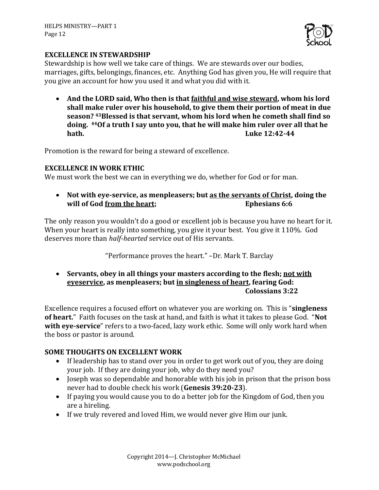

#### **EXCELLENCE IN STEWARDSHIP**

Stewardship is how well we take care of things. We are stewards over our bodies, marriages, gifts, belongings, finances, etc. Anything God has given you, He will require that you give an account for how you used it and what you did with it.

• And the LORD said, Who then is that <u>faithful and wise steward</u>, whom his lord shall make ruler over his household, to give them their portion of meat in due season? <sup>43</sup>Blessed is that servant, whom his lord when he cometh shall find so doing. <sup>44</sup>Of a truth I say unto you, that he will make him ruler over all that he **hath. Luke 12:42-44** 

Promotion is the reward for being a steward of excellence.

## **EXCELLENCE IN WORK ETHIC**

We must work the best we can in everything we do, whether for God or for man.

• Not with eve-service, as menpleasers; but as the servants of Christ, doing the **will of God from the heart; Ephesians 6:6** 

The only reason you wouldn't do a good or excellent job is because you have no heart for it. When your heart is really into something, you give it your best. You give it 110%. God deserves more than *half-hearted* service out of His servants.

"Performance proves the heart." -Dr. Mark T. Barclay

• Servants, obey in all things your masters according to the flesh; not with **eveservice**, as menpleasers; but in singleness of heart, fearing God: **Colossians 3:22**

Excellence requires a focused effort on whatever you are working on. This is "**singleness** of heart." Faith focuses on the task at hand, and faith is what it takes to please God. "Not with eye-service" refers to a two-faced, lazy work ethic. Some will only work hard when the boss or pastor is around.

## **SOME THOUGHTS ON EXCELLENT WORK**

- If leadership has to stand over you in order to get work out of you, they are doing your job. If they are doing your job, why do they need you?
- Joseph was so dependable and honorable with his job in prison that the prison boss never had to double check his work (**Genesis 39:20-23**).
- If paying you would cause you to do a better job for the Kingdom of God, then you are a hireling.
- If we truly revered and loved Him, we would never give Him our junk.